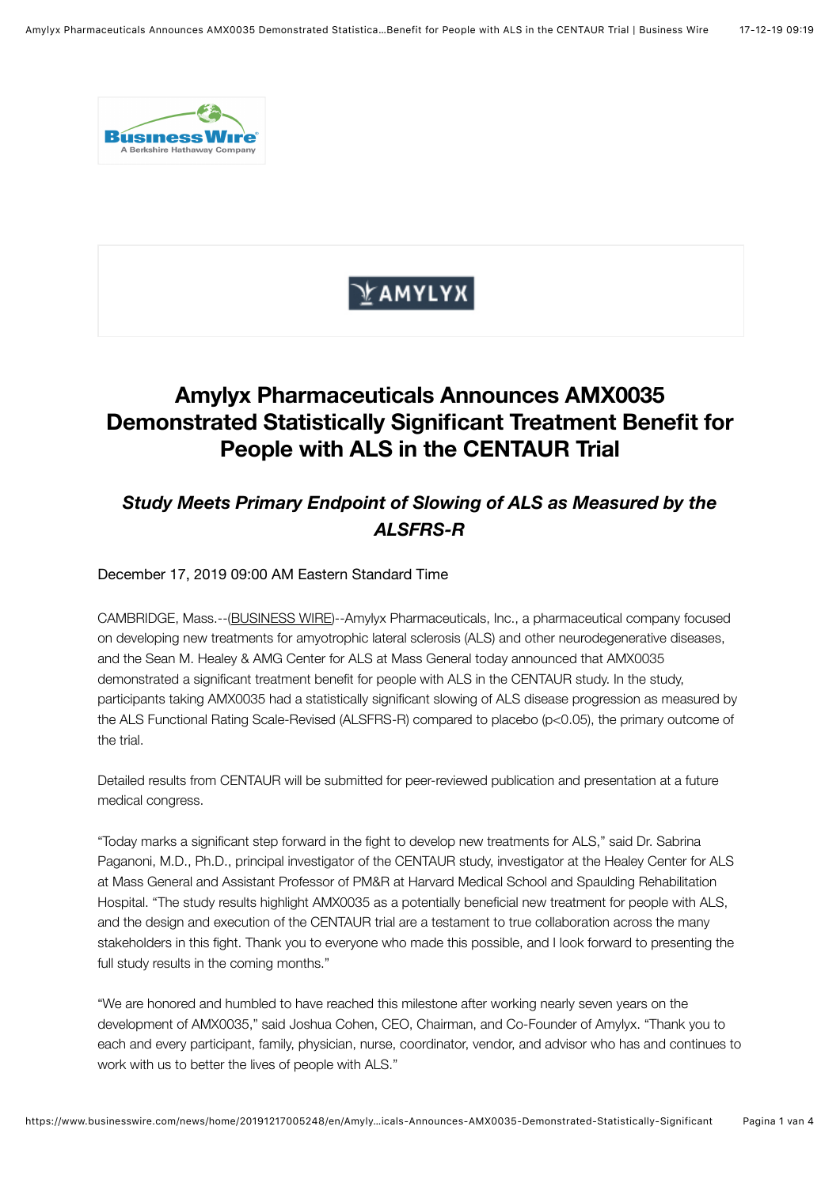



# **Amylyx Pharmaceuticals Announces AMX0035 Demonstrated Statistically Significant Treatment Benefit for People with ALS in the CENTAUR Trial**

# *Study Meets Primary Endpoint of Slowing of ALS as Measured by the ALSFRS-R*

December 17, 2019 09:00 AM Eastern Standard Time

CAMBRIDGE, Mass.--([BUSINESS WIRE](https://www.businesswire.com/))--Amylyx Pharmaceuticals, Inc., a pharmaceutical company focused on developing new treatments for amyotrophic lateral sclerosis (ALS) and other neurodegenerative diseases, and the Sean M. Healey & AMG Center for ALS at Mass General today announced that AMX0035 demonstrated a significant treatment benefit for people with ALS in the CENTAUR study. In the study, participants taking AMX0035 had a statistically significant slowing of ALS disease progression as measured by the ALS Functional Rating Scale-Revised (ALSFRS-R) compared to placebo (p<0.05), the primary outcome of the trial.

Detailed results from CENTAUR will be submitted for peer-reviewed publication and presentation at a future medical congress.

"Today marks a significant step forward in the fight to develop new treatments for ALS," said Dr. Sabrina Paganoni, M.D., Ph.D., principal investigator of the CENTAUR study, investigator at the Healey Center for ALS at Mass General and Assistant Professor of PM&R at Harvard Medical School and Spaulding Rehabilitation Hospital. "The study results highlight AMX0035 as a potentially beneficial new treatment for people with ALS, and the design and execution of the CENTAUR trial are a testament to true collaboration across the many stakeholders in this fight. Thank you to everyone who made this possible, and I look forward to presenting the full study results in the coming months."

"We are honored and humbled to have reached this milestone after working nearly seven years on the development of AMX0035," said Joshua Cohen, CEO, Chairman, and Co-Founder of Amylyx. "Thank you to each and every participant, family, physician, nurse, coordinator, vendor, and advisor who has and continues to work with us to better the lives of people with ALS."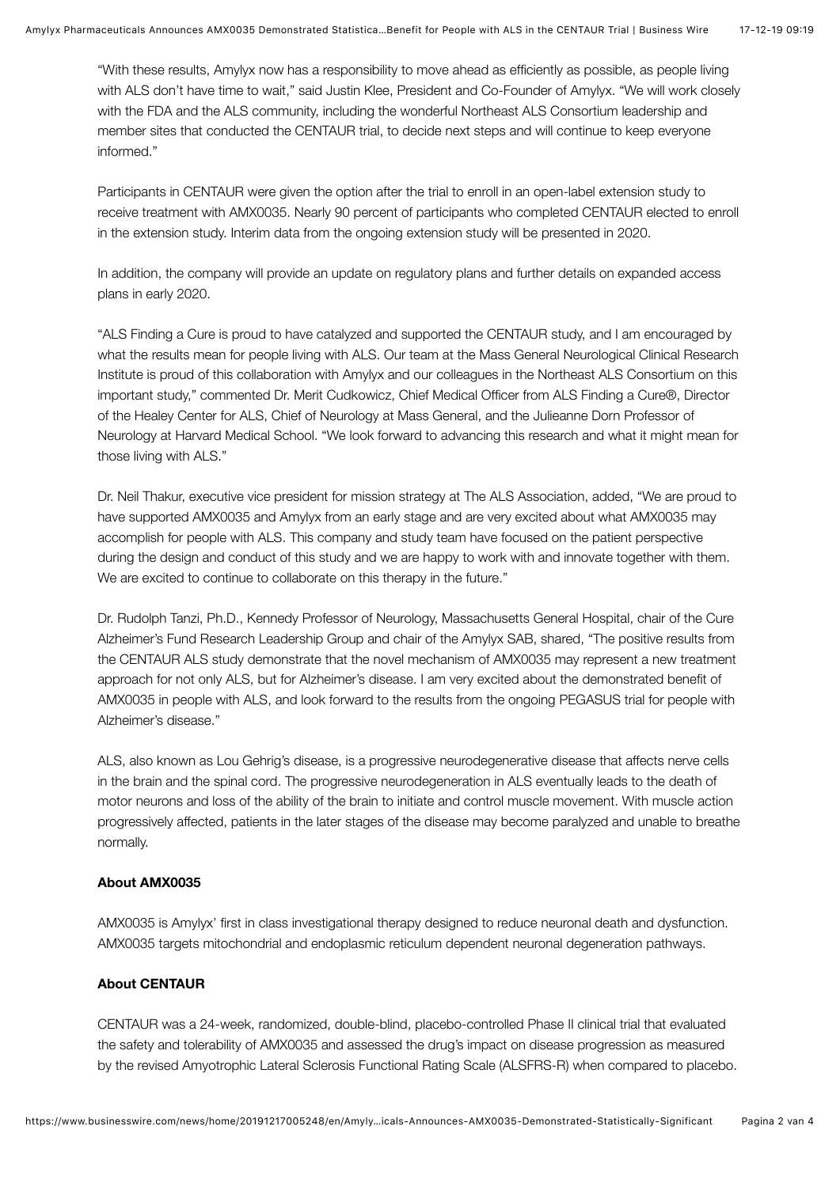"With these results, Amylyx now has a responsibility to move ahead as efficiently as possible, as people living with ALS don't have time to wait," said Justin Klee, President and Co-Founder of Amylyx. "We will work closely with the FDA and the ALS community, including the wonderful Northeast ALS Consortium leadership and member sites that conducted the CENTAUR trial, to decide next steps and will continue to keep everyone informed."

Participants in CENTAUR were given the option after the trial to enroll in an open-label extension study to receive treatment with AMX0035. Nearly 90 percent of participants who completed CENTAUR elected to enroll in the extension study. Interim data from the ongoing extension study will be presented in 2020.

In addition, the company will provide an update on regulatory plans and further details on expanded access plans in early 2020.

"ALS Finding a Cure is proud to have catalyzed and supported the CENTAUR study, and I am encouraged by what the results mean for people living with ALS. Our team at the Mass General Neurological Clinical Research Institute is proud of this collaboration with Amylyx and our colleagues in the Northeast ALS Consortium on this important study," commented Dr. Merit Cudkowicz, Chief Medical Officer from ALS Finding a Cure®, Director of the Healey Center for ALS, Chief of Neurology at Mass General, and the Julieanne Dorn Professor of Neurology at Harvard Medical School. "We look forward to advancing this research and what it might mean for those living with ALS."

Dr. Neil Thakur, executive vice president for mission strategy at The ALS Association, added, "We are proud to have supported AMX0035 and Amylyx from an early stage and are very excited about what AMX0035 may accomplish for people with ALS. This company and study team have focused on the patient perspective during the design and conduct of this study and we are happy to work with and innovate together with them. We are excited to continue to collaborate on this therapy in the future."

Dr. Rudolph Tanzi, Ph.D., Kennedy Professor of Neurology, Massachusetts General Hospital, chair of the Cure Alzheimer's Fund Research Leadership Group and chair of the Amylyx SAB, shared, "The positive results from the CENTAUR ALS study demonstrate that the novel mechanism of AMX0035 may represent a new treatment approach for not only ALS, but for Alzheimer's disease. I am very excited about the demonstrated benefit of AMX0035 in people with ALS, and look forward to the results from the ongoing PEGASUS trial for people with Alzheimer's disease."

ALS, also known as Lou Gehrig's disease, is a progressive neurodegenerative disease that affects nerve cells in the brain and the spinal cord. The progressive neurodegeneration in ALS eventually leads to the death of motor neurons and loss of the ability of the brain to initiate and control muscle movement. With muscle action progressively affected, patients in the later stages of the disease may become paralyzed and unable to breathe normally.

## **About AMX0035**

AMX0035 is Amylyx' first in class investigational therapy designed to reduce neuronal death and dysfunction. AMX0035 targets mitochondrial and endoplasmic reticulum dependent neuronal degeneration pathways.

# **About CENTAUR**

CENTAUR was a 24-week, randomized, double-blind, placebo-controlled Phase II clinical trial that evaluated the safety and tolerability of AMX0035 and assessed the drug's impact on disease progression as measured by the revised Amyotrophic Lateral Sclerosis Functional Rating Scale (ALSFRS-R) when compared to placebo.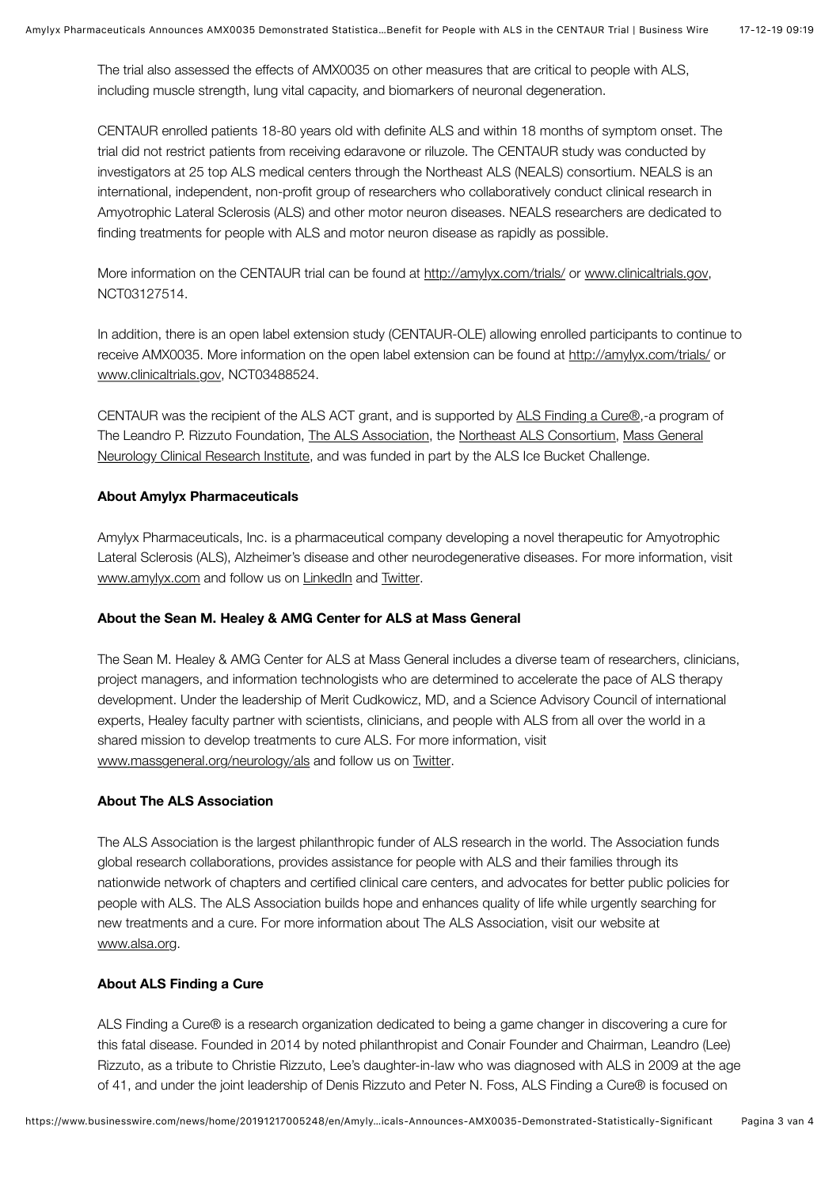The trial also assessed the effects of AMX0035 on other measures that are critical to people with ALS, including muscle strength, lung vital capacity, and biomarkers of neuronal degeneration.

CENTAUR enrolled patients 18-80 years old with definite ALS and within 18 months of symptom onset. The trial did not restrict patients from receiving edaravone or riluzole. The CENTAUR study was conducted by investigators at 25 top ALS medical centers through the Northeast ALS (NEALS) consortium. NEALS is an international, independent, non-profit group of researchers who collaboratively conduct clinical research in Amyotrophic Lateral Sclerosis (ALS) and other motor neuron diseases. NEALS researchers are dedicated to finding treatments for people with ALS and motor neuron disease as rapidly as possible.

More information on the CENTAUR trial can be found at [http://amylyx.com/trials/](https://cts.businesswire.com/ct/CT?id=smartlink&url=http%3A%2F%2Famylyx.com%2Fresearchers-physicians%2Fsciencepipeline%2F&esheet=52148069&newsitemid=20191217005248&lan=en-US&anchor=http%3A%2F%2Famylyx.com%2Ftrials%2F&index=1&md5=cef81b75e6ba577ef3a806321dda8e8b) or [www.clinicaltrials.gov](https://cts.businesswire.com/ct/CT?id=smartlink&url=http%3A%2F%2Fwww.clinicaltrials.gov&esheet=52148069&newsitemid=20191217005248&lan=en-US&anchor=www.clinicaltrials.gov&index=2&md5=f32e226b324b039f880a1e58b998d156), NCT03127514.

In addition, there is an open label extension study (CENTAUR-OLE) allowing enrolled participants to continue to receive AMX0035. More information on the open label extension can be found at [http://amylyx.com/trials/](https://cts.businesswire.com/ct/CT?id=smartlink&url=http%3A%2F%2Famylyx.com%2Fresearchers-physicians%2Fsciencepipeline%2F&esheet=52148069&newsitemid=20191217005248&lan=en-US&anchor=http%3A%2F%2Famylyx.com%2Ftrials%2F&index=3&md5=1ebcba41f12da99c447b43a0bddbfaaf) or [www.clinicaltrials.gov,](https://cts.businesswire.com/ct/CT?id=smartlink&url=http%3A%2F%2Fwww.clinicaltrials.gov&esheet=52148069&newsitemid=20191217005248&lan=en-US&anchor=www.clinicaltrials.gov&index=4&md5=c46a17defd21cfeef4bb2c6f4c31aece) NCT03488524.

CENTAUR was the recipient of the ALS ACT grant, and is supported by [ALS Finding a Cure®,](https://cts.businesswire.com/ct/CT?id=smartlink&url=http%3A%2F%2Fwww.alsfindingacure.org%2F&esheet=52148069&newsitemid=20191217005248&lan=en-US&anchor=ALS+Finding+a+Cure%26%23174%3B&index=5&md5=c06e94eaf1ffc6d7a7b67f68723a3ae2)-a program of [The Leandro P. Rizzuto Foundation, T](https://cts.businesswire.com/ct/CT?id=smartlink&url=https%3A%2F%2Fwww.massgeneral.org%2Fncri%2F&esheet=52148069&newsitemid=20191217005248&lan=en-US&anchor=Mass+General+Neurology+Clinical+Research+Institute&index=8&md5=ad93939868bd1e7c3a74eb07877391fb)[he ALS Associatio](https://cts.businesswire.com/ct/CT?id=smartlink&url=http%3A%2F%2Fwww.alsa.org%2F&esheet=52148069&newsitemid=20191217005248&lan=en-US&anchor=The+ALS+Association&index=6&md5=8d9438a45b651da23c77744546d0b5b7)[n, the](https://cts.businesswire.com/ct/CT?id=smartlink&url=https%3A%2F%2Fwww.massgeneral.org%2Fncri%2F&esheet=52148069&newsitemid=20191217005248&lan=en-US&anchor=Mass+General+Neurology+Clinical+Research+Institute&index=8&md5=ad93939868bd1e7c3a74eb07877391fb) [Northeast ALS Consortiu](https://cts.businesswire.com/ct/CT?id=smartlink&url=https%3A%2F%2Fwww.neals.org%2F&esheet=52148069&newsitemid=20191217005248&lan=en-US&anchor=Northeast+ALS+Consortium&index=7&md5=c7ae42dfe8b931818a7b793327387f97)[m, Mass General](https://cts.businesswire.com/ct/CT?id=smartlink&url=https%3A%2F%2Fwww.massgeneral.org%2Fncri%2F&esheet=52148069&newsitemid=20191217005248&lan=en-US&anchor=Mass+General+Neurology+Clinical+Research+Institute&index=8&md5=ad93939868bd1e7c3a74eb07877391fb) Neurology Clinical Research Institute, and was funded in part by the ALS Ice Bucket Challenge.

#### **About Amylyx Pharmaceuticals**

Amylyx Pharmaceuticals, Inc. is a pharmaceutical company developing a novel therapeutic for Amyotrophic Lateral Sclerosis (ALS), Alzheimer's disease and other neurodegenerative diseases. For more information, visit [www.amylyx.com](https://cts.businesswire.com/ct/CT?id=smartlink&url=http%3A%2F%2Fwww.amylyx.com&esheet=52148069&newsitemid=20191217005248&lan=en-US&anchor=www.amylyx.com&index=9&md5=939ab8ef17a9ad3455ad75994577a5b5) and follow us on [LinkedIn](https://cts.businesswire.com/ct/CT?id=smartlink&url=https%3A%2F%2Fwww.linkedin.com%2Fcompany%2Famylyx%2F&esheet=52148069&newsitemid=20191217005248&lan=en-US&anchor=LinkedIn&index=10&md5=488e0b9d342d0cddc95cd4f5c6fbf22a) and [Twitter.](https://cts.businesswire.com/ct/CT?id=smartlink&url=https%3A%2F%2Ftwitter.com%2FAmylyxPharma&esheet=52148069&newsitemid=20191217005248&lan=en-US&anchor=Twitter&index=11&md5=ae8ceac5030c3bd09549c7dec3409fe7)

#### **About the Sean M. Healey & AMG Center for ALS at Mass General**

The Sean M. Healey & AMG Center for ALS at Mass General includes a diverse team of researchers, clinicians, project managers, and information technologists who are determined to accelerate the pace of ALS therapy development. Under the leadership of Merit Cudkowicz, MD, and a Science Advisory Council of international experts, Healey faculty partner with scientists, clinicians, and people with ALS from all over the world in a shared mission to develop treatments to cure ALS. For more information, visit [www.massgeneral.org/neurology/als](https://cts.businesswire.com/ct/CT?id=smartlink&url=http%3A%2F%2Fwww.massgeneral.org%2Fneurology%2Fals&esheet=52148069&newsitemid=20191217005248&lan=en-US&anchor=www.massgeneral.org%2Fneurology%2Fals&index=12&md5=d74f2077b189097235ea663a23cbe2f7) and follow us on [Twitter.](https://cts.businesswire.com/ct/CT?id=smartlink&url=https%3A%2F%2Ftwitter.com%2FMGHNeurology&esheet=52148069&newsitemid=20191217005248&lan=en-US&anchor=Twitter&index=13&md5=b792df1542eb397be57b85fb6cfe13ac)

# **About The ALS Association**

The ALS Association is the largest philanthropic funder of ALS research in the world. The Association funds global research collaborations, provides assistance for people with ALS and their families through its nationwide network of chapters and certified clinical care centers, and advocates for better public policies for people with ALS. The ALS Association builds hope and enhances quality of life while urgently searching for new treatments and a cure. For more information about The ALS Association, visit our website at [www.alsa.org](https://cts.businesswire.com/ct/CT?id=smartlink&url=http%3A%2F%2Fwww.alsa.org%2F&esheet=52148069&newsitemid=20191217005248&lan=en-US&anchor=www.alsa.org&index=14&md5=4015dae08a203b4460d5a8936a36de15).

## **About ALS Finding a Cure**

ALS Finding a Cure® is a research organization dedicated to being a game changer in discovering a cure for this fatal disease. Founded in 2014 by noted philanthropist and Conair Founder and Chairman, Leandro (Lee) Rizzuto, as a tribute to Christie Rizzuto, Lee's daughter-in-law who was diagnosed with ALS in 2009 at the age of 41, and under the joint leadership of Denis Rizzuto and Peter N. Foss, ALS Finding a Cure® is focused on